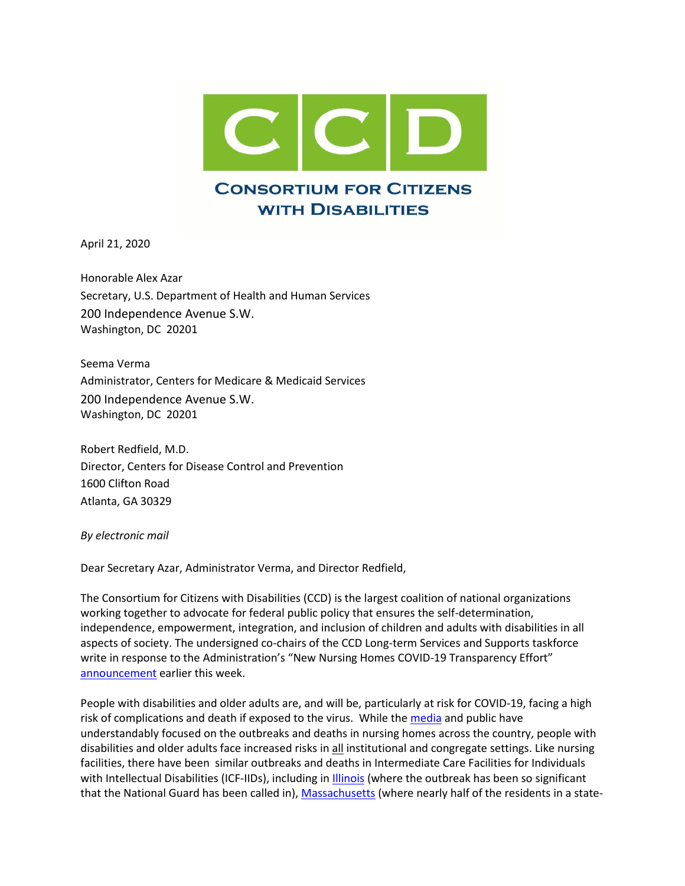

April 21, 2020

Honorable Alex Azar Secretary, U.S. Department of Health and Human Services 200 Independence Avenue S.W. Washington, DC 20201

Seema Verma Administrator, Centers for Medicare & Medicaid Services 200 Independence Avenue S.W. Washington, DC 20201

Robert Redfield, M.D. Director, Centers for Disease Control and Prevention 1600 Clifton Road Atlanta, GA 30329

*By electronic mail*

Dear Secretary Azar, Administrator Verma, and Director Redfield,

The Consortium for Citizens with Disabilities (CCD) is the largest coalition of national organizations working together to advocate for federal public policy that ensures the self-determination, independence, empowerment, integration, and inclusion of children and adults with disabilities in all aspects of society. The undersigned co-chairs of the CCD Long-term Services and Supports taskforce write in response to the Administration's "New Nursing Homes COVID-19 Transparency Effort" [announcement](https://www.cms.gov/newsroom/press-releases/trump-administration-announces-new-nursing-homes-covid-19-transparency-effort) earlier this week.

People with disabilities and older adults are, and will be, particularly at risk for COVID-19, facing a high risk of complications and death if exposed to the virus. While the [media](https://www.nytimes.com/2020/04/17/us/coronavirus-nursing-homes.html?smid=fb-share&fbclid=IwAR0Yos3PNpzusCnvIwaoVWs0YtLdVIAM2w0GlzSN26a-0VKgAYDStXsskjY) and public have understandably focused on the outbreaks and deaths in nursing homes across the country, people with disabilities and older adults face increased risks in all institutional and congregate settings. Like nursing facilities, there have been similar outbreaks and deaths in Intermediate Care Facilities for Individuals with Intellectual Disabilities (ICF-IIDs), including in [Illinois](https://www.chicagotribune.com/suburbs/daily-southtown/ct-sta-illinois-national-guard-ludeman-center-st-0419-20200417-evmpvn4bfbegtia2njinmdbf54-story.html?fbclid=IwAR2mRScLv1dmOu9gY6adCAVCvC3yujRiAk5uGdEKZY3tS500gGzYb8uQkSc) (where the outbreak has been so significant that the National Guard has been called in), [Massachusetts](https://www.wcvb.com/article/nearly-half-of-developmentally-disabled-at-state-home-in-massachusetts-infected-with-coronavirus/32178605) (where nearly half of the residents in a state